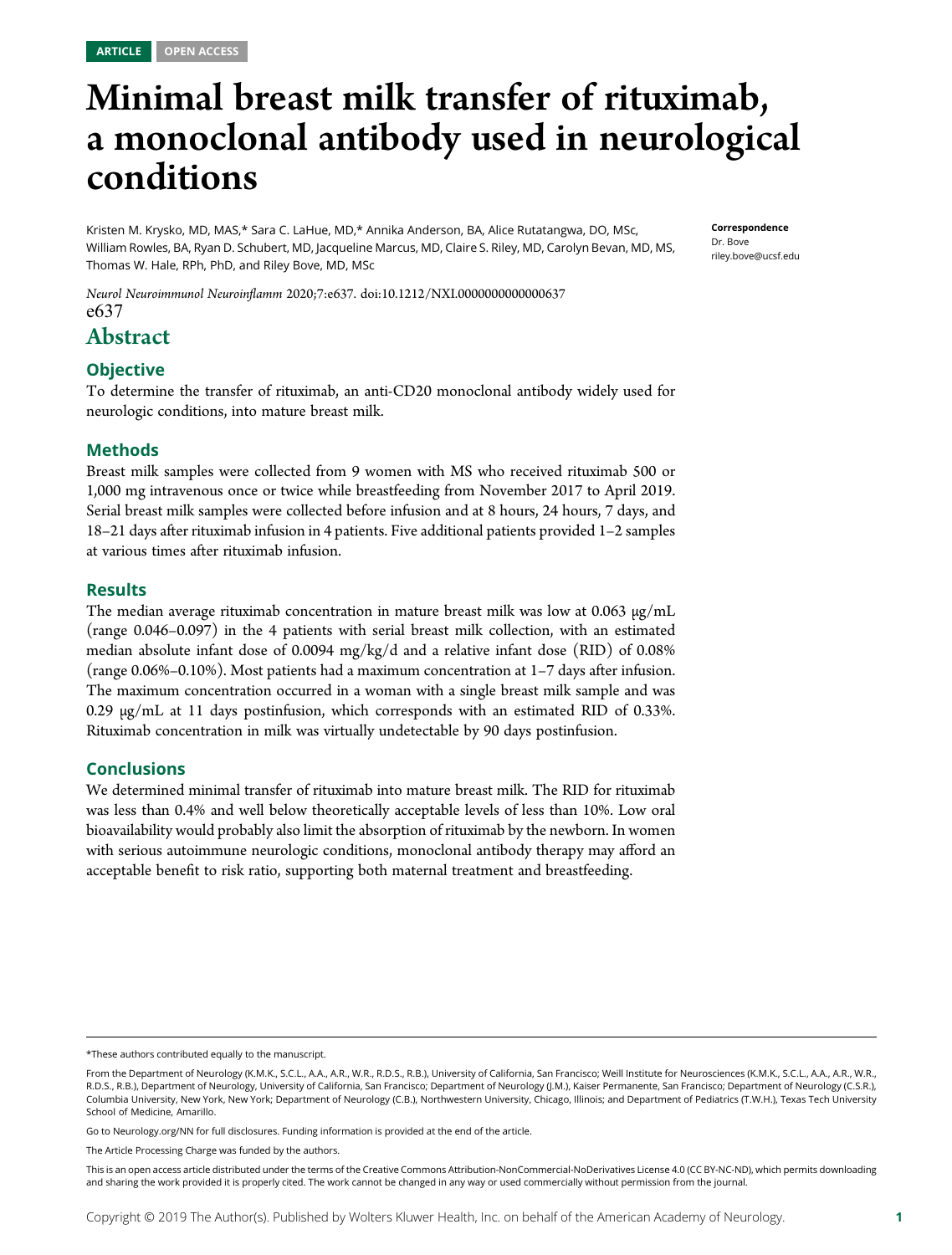# Minimal breast milk transfer of rituximab, a monoclonal antibody used in neurological conditions

Kristen M. Krysko, MD, MAS,\* Sara C. LaHue, MD,\* Annika Anderson, BA, Alice Rutatangwa, DO, MSc, William Rowles, BA, Ryan D. Schubert, MD, Jacqueline Marcus, MD, Claire S. Riley, MD, Carolyn Bevan, MD, MS, Thomas W. Hale, RPh, PhD, and Riley Bove, MD, MSc

Neurol Neuroimmunol Neuroinflamm 2020;7:e637. doi[:10.1212/NXI.0000000000000637](http://dx.doi.org/10.1212/NXI.0000000000000637) e637

# Abstract

#### **Objective**

To determine the transfer of rituximab, an anti-CD20 monoclonal antibody widely used for neurologic conditions, into mature breast milk.

#### Methods

Breast milk samples were collected from 9 women with MS who received rituximab 500 or 1,000 mg intravenous once or twice while breastfeeding from November 2017 to April 2019. Serial breast milk samples were collected before infusion and at 8 hours, 24 hours, 7 days, and 18–21 days after rituximab infusion in 4 patients. Five additional patients provided 1–2 samples at various times after rituximab infusion.

#### **Results**

The median average rituximab concentration in mature breast milk was low at  $0.063 \mu g/mL$ (range 0.046–0.097) in the 4 patients with serial breast milk collection, with an estimated median absolute infant dose of 0.0094 mg/kg/d and a relative infant dose (RID) of 0.08% (range 0.06%–0.10%). Most patients had a maximum concentration at 1–7 days after infusion. The maximum concentration occurred in a woman with a single breast milk sample and was  $0.29 \mu g/mL$  at 11 days postinfusion, which corresponds with an estimated RID of 0.33%. Rituximab concentration in milk was virtually undetectable by 90 days postinfusion.

#### Conclusions

We determined minimal transfer of rituximab into mature breast milk. The RID for rituximab was less than 0.4% and well below theoretically acceptable levels of less than 10%. Low oral bioavailability would probably also limit the absorption of rituximab by the newborn. In women with serious autoimmune neurologic conditions, monoclonal antibody therapy may afford an acceptable benefit to risk ratio, supporting both maternal treatment and breastfeeding.

Go to [Neurology.org/NN](https://nn.neurology.org/content/7/1/e637/tab-article-info) for full disclosures. Funding information is provided at the end of the article.

This is an open access article distributed under the terms of the [Creative Commons Attribution-NonCommercial-NoDerivatives License 4.0 \(CC BY-NC-ND\),](http://creativecommons.org/licenses/by-nc-nd/4.0/) which permits downloading and sharing the work provided it is properly cited. The work cannot be changed in any way or used commercially without permission from the journal.

Correspondence Dr. Bove [riley.bove@ucsf.edu](mailto:riley.bove@ucsf.edu)

<sup>\*</sup>These authors contributed equally to the manuscript.

From the Department of Neurology (K.M.K., S.C.L., A.A., A.R., W.R., R.D.S., R.B.), University of California, San Francisco; Weill Institute for Neurosciences (K.M.K., S.C.L., A.A., A.R., W.R., R.D.S., R.B.), Department of Neurology, University of California, San Francisco; Department of Neurology (J.M.), Kaiser Permanente, San Francisco; Department of Neurology (C.S.R.), Columbia University, New York, New York; Department of Neurology (C.B.), Northwestern University, Chicago, Illinois; and Department of Pediatrics (T.W.H.), Texas Tech University School of Medicine, Amarillo.

The Article Processing Charge was funded by the authors.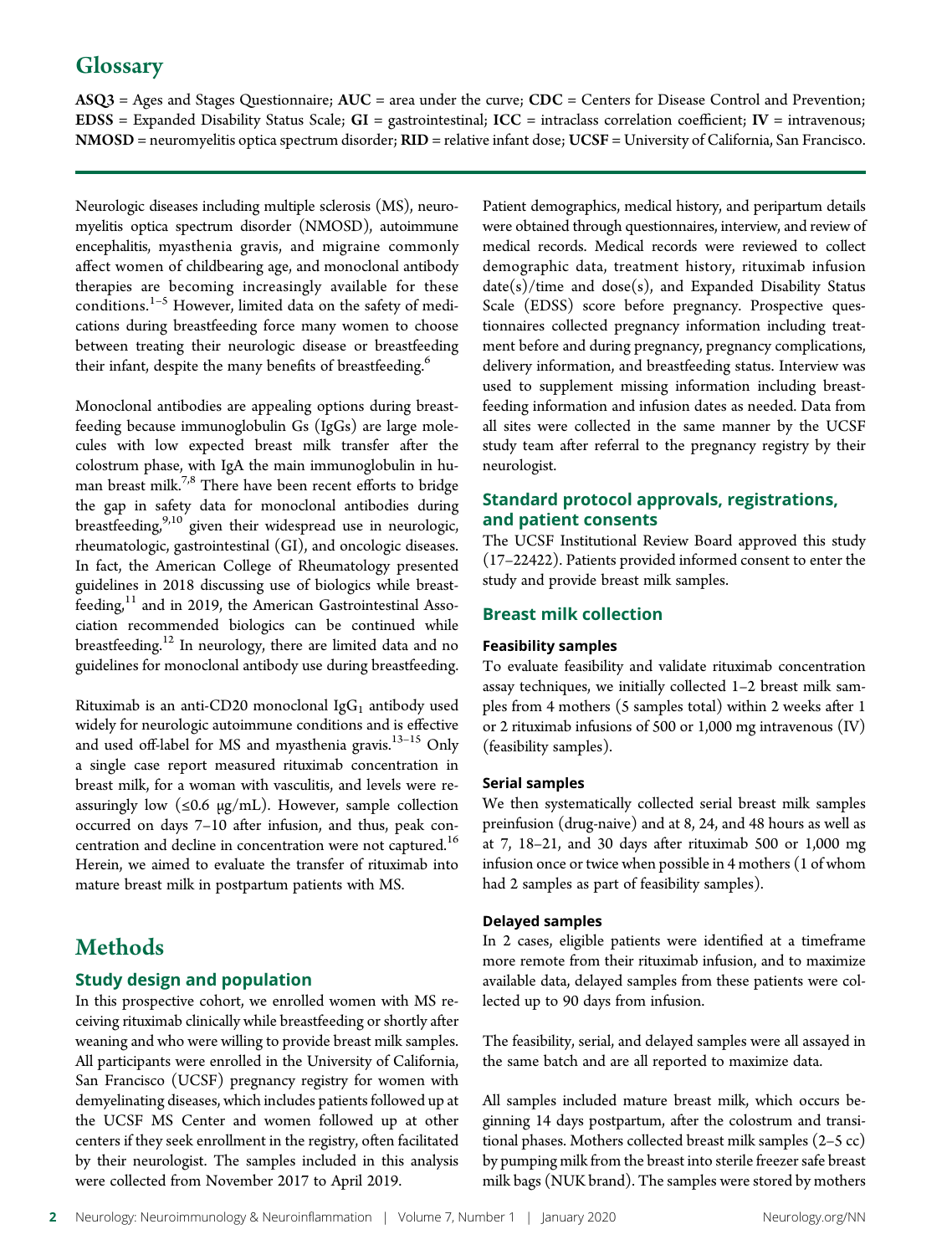# **Glossary**

 $ASQ3 = Ages$  and Stages Questionnaire;  $AUC = area$  under the curve;  $CDC = Centers$  for Disease Control and Prevention; EDSS = Expanded Disability Status Scale;  $GI =$  gastrointestinal;  $ICC =$  intraclass correlation coefficient;  $IV =$  intravenous; NMOSD = neuromyelitis optica spectrum disorder; RID = relative infant dose; UCSF = University of California, San Francisco.

Neurologic diseases including multiple sclerosis (MS), neuromyelitis optica spectrum disorder (NMOSD), autoimmune encephalitis, myasthenia gravis, and migraine commonly affect women of childbearing age, and monoclonal antibody therapies are becoming increasingly available for these conditions. $1-5$  However, limited data on the safety of medications during breastfeeding force many women to choose between treating their neurologic disease or breastfeeding their infant, despite the many benefits of breastfeeding.<sup>6</sup>

Monoclonal antibodies are appealing options during breastfeeding because immunoglobulin Gs (IgGs) are large molecules with low expected breast milk transfer after the colostrum phase, with IgA the main immunoglobulin in human breast milk.7,8 There have been recent efforts to bridge the gap in safety data for monoclonal antibodies during breastfeeding,<sup>9,10</sup> given their widespread use in neurologic, rheumatologic, gastrointestinal (GI), and oncologic diseases. In fact, the American College of Rheumatology presented guidelines in 2018 discussing use of biologics while breast $feeding<sub>i</sub><sup>11</sup>$  and in 2019, the American Gastrointestinal Association recommended biologics can be continued while breastfeeding.<sup>12</sup> In neurology, there are limited data and no guidelines for monoclonal antibody use during breastfeeding.

Rituximab is an anti-CD20 monoclonal Ig $G_1$  antibody used widely for neurologic autoimmune conditions and is effective and used off-label for MS and myasthenia gravis.<sup>13-15</sup> Only a single case report measured rituximab concentration in breast milk, for a woman with vasculitis, and levels were reassuringly low  $(\leq 0.6 \text{ µg/mL})$ . However, sample collection occurred on days 7–10 after infusion, and thus, peak concentration and decline in concentration were not captured.<sup>16</sup> Herein, we aimed to evaluate the transfer of rituximab into mature breast milk in postpartum patients with MS.

# **Methods**

## Study design and population

In this prospective cohort, we enrolled women with MS receiving rituximab clinically while breastfeeding or shortly after weaning and who were willing to provide breast milk samples. All participants were enrolled in the University of California, San Francisco (UCSF) pregnancy registry for women with demyelinating diseases, which includes patients followed up at the UCSF MS Center and women followed up at other centers if they seek enrollment in the registry, often facilitated by their neurologist. The samples included in this analysis were collected from November 2017 to April 2019.

Patient demographics, medical history, and peripartum details were obtained through questionnaires, interview, and review of medical records. Medical records were reviewed to collect demographic data, treatment history, rituximab infusion  $date(s)/time$  and  $dose(s)$ , and Expanded Disability Status Scale (EDSS) score before pregnancy. Prospective questionnaires collected pregnancy information including treatment before and during pregnancy, pregnancy complications, delivery information, and breastfeeding status. Interview was used to supplement missing information including breastfeeding information and infusion dates as needed. Data from all sites were collected in the same manner by the UCSF study team after referral to the pregnancy registry by their neurologist.

#### Standard protocol approvals, registrations, and patient consents

The UCSF Institutional Review Board approved this study (17–22422). Patients provided informed consent to enter the study and provide breast milk samples.

#### Breast milk collection

#### Feasibility samples

To evaluate feasibility and validate rituximab concentration assay techniques, we initially collected 1–2 breast milk samples from 4 mothers (5 samples total) within 2 weeks after 1 or 2 rituximab infusions of 500 or 1,000 mg intravenous (IV) (feasibility samples).

#### Serial samples

We then systematically collected serial breast milk samples preinfusion (drug-naive) and at 8, 24, and 48 hours as well as at 7, 18–21, and 30 days after rituximab 500 or 1,000 mg infusion once or twice when possible in 4 mothers (1 of whom had 2 samples as part of feasibility samples).

#### Delayed samples

In 2 cases, eligible patients were identified at a timeframe more remote from their rituximab infusion, and to maximize available data, delayed samples from these patients were collected up to 90 days from infusion.

The feasibility, serial, and delayed samples were all assayed in the same batch and are all reported to maximize data.

All samples included mature breast milk, which occurs beginning 14 days postpartum, after the colostrum and transitional phases. Mothers collected breast milk samples (2–5 cc) by pumping milk from the breast into sterile freezer safe breast milk bags (NUK brand). The samples were stored by mothers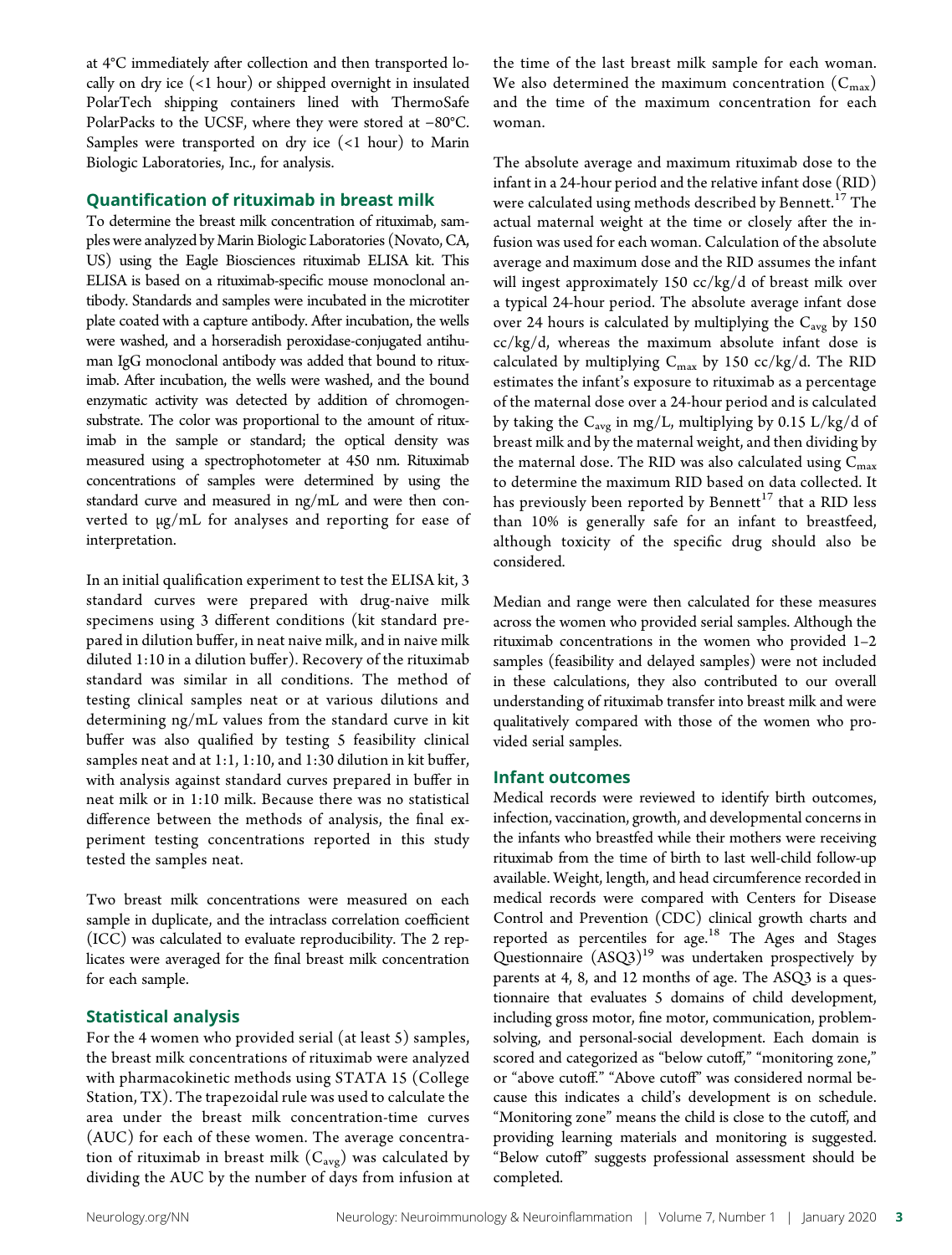at 4°C immediately after collection and then transported locally on dry ice (<1 hour) or shipped overnight in insulated PolarTech shipping containers lined with ThermoSafe PolarPacks to the UCSF, where they were stored at −80°C. Samples were transported on dry ice  $($  < 1 hour) to Marin Biologic Laboratories, Inc., for analysis.

#### Quantification of rituximab in breast milk

To determine the breast milk concentration of rituximab, samples were analyzed by Marin Biologic Laboratories (Novato, CA, US) using the Eagle Biosciences rituximab ELISA kit. This ELISA is based on a rituximab-specific mouse monoclonal antibody. Standards and samples were incubated in the microtiter plate coated with a capture antibody. After incubation, the wells were washed, and a horseradish peroxidase-conjugated antihuman IgG monoclonal antibody was added that bound to rituximab. After incubation, the wells were washed, and the bound enzymatic activity was detected by addition of chromogensubstrate. The color was proportional to the amount of rituximab in the sample or standard; the optical density was measured using a spectrophotometer at 450 nm. Rituximab concentrations of samples were determined by using the standard curve and measured in ng/mL and were then converted to μg/mL for analyses and reporting for ease of interpretation.

In an initial qualification experiment to test the ELISA kit, 3 standard curves were prepared with drug-naive milk specimens using 3 different conditions (kit standard prepared in dilution buffer, in neat naive milk, and in naive milk diluted 1:10 in a dilution buffer). Recovery of the rituximab standard was similar in all conditions. The method of testing clinical samples neat or at various dilutions and determining ng/mL values from the standard curve in kit buffer was also qualified by testing 5 feasibility clinical samples neat and at 1:1, 1:10, and 1:30 dilution in kit buffer, with analysis against standard curves prepared in buffer in neat milk or in 1:10 milk. Because there was no statistical difference between the methods of analysis, the final experiment testing concentrations reported in this study tested the samples neat.

Two breast milk concentrations were measured on each sample in duplicate, and the intraclass correlation coefficient (ICC) was calculated to evaluate reproducibility. The 2 replicates were averaged for the final breast milk concentration for each sample.

#### Statistical analysis

For the 4 women who provided serial (at least 5) samples, the breast milk concentrations of rituximab were analyzed with pharmacokinetic methods using STATA 15 (College Station, TX). The trapezoidal rule was used to calculate the area under the breast milk concentration-time curves (AUC) for each of these women. The average concentration of rituximab in breast milk  $(C_{avg})$  was calculated by dividing the AUC by the number of days from infusion at the time of the last breast milk sample for each woman. We also determined the maximum concentration  $(C_{\text{max}})$ and the time of the maximum concentration for each woman.

The absolute average and maximum rituximab dose to the infant in a 24-hour period and the relative infant dose (RID) were calculated using methods described by Bennett.<sup>17</sup> The actual maternal weight at the time or closely after the infusion was used for each woman. Calculation of the absolute average and maximum dose and the RID assumes the infant will ingest approximately 150 cc/kg/d of breast milk over a typical 24-hour period. The absolute average infant dose over 24 hours is calculated by multiplying the  $C_{avg}$  by 150 cc/kg/d, whereas the maximum absolute infant dose is calculated by multiplying  $C_{\text{max}}$  by 150 cc/kg/d. The RID estimates the infant's exposure to rituximab as a percentage of the maternal dose over a 24-hour period and is calculated by taking the  $C_{avg}$  in mg/L, multiplying by 0.15 L/kg/d of breast milk and by the maternal weight, and then dividing by the maternal dose. The RID was also calculated using  $C_{\text{max}}$ to determine the maximum RID based on data collected. It has previously been reported by Bennett $^{17}$  that a RID less than 10% is generally safe for an infant to breastfeed, although toxicity of the specific drug should also be considered.

Median and range were then calculated for these measures across the women who provided serial samples. Although the rituximab concentrations in the women who provided 1–2 samples (feasibility and delayed samples) were not included in these calculations, they also contributed to our overall understanding of rituximab transfer into breast milk and were qualitatively compared with those of the women who provided serial samples.

#### Infant outcomes

Medical records were reviewed to identify birth outcomes, infection, vaccination, growth, and developmental concerns in the infants who breastfed while their mothers were receiving rituximab from the time of birth to last well-child follow-up available. Weight, length, and head circumference recorded in medical records were compared with Centers for Disease Control and Prevention (CDC) clinical growth charts and reported as percentiles for  $age$ <sup>18</sup> The Ages and Stages Questionnaire  $(ASQ3)^{19}$  was undertaken prospectively by parents at 4, 8, and 12 months of age. The ASQ3 is a questionnaire that evaluates 5 domains of child development, including gross motor, fine motor, communication, problemsolving, and personal-social development. Each domain is scored and categorized as "below cutoff," "monitoring zone," or "above cutoff." "Above cutoff" was considered normal because this indicates a child's development is on schedule. "Monitoring zone" means the child is close to the cutoff, and providing learning materials and monitoring is suggested. "Below cutoff" suggests professional assessment should be completed.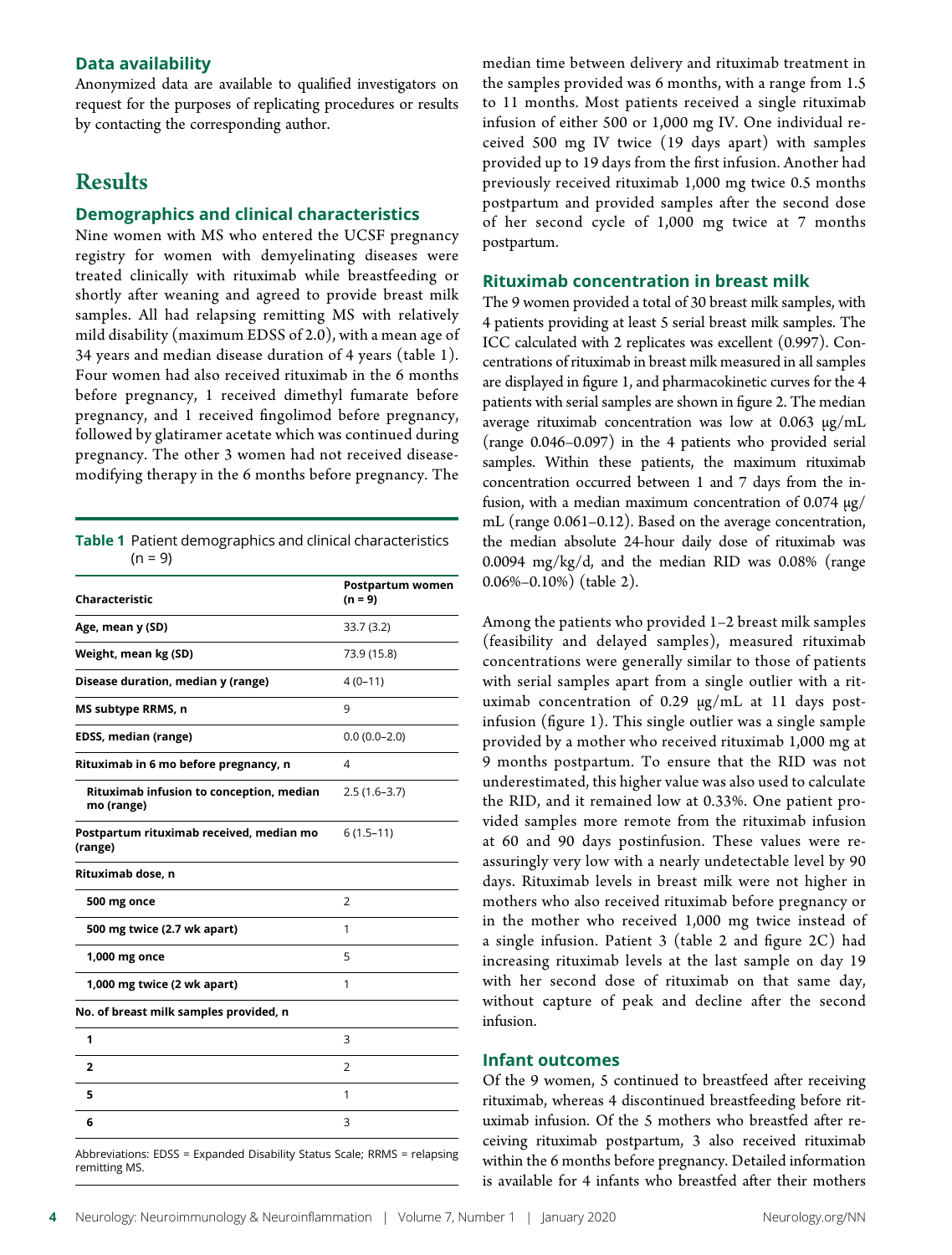#### Data availability

Anonymized data are available to qualified investigators on request for the purposes of replicating procedures or results by contacting the corresponding author.

# **Results**

# Demographics and clinical characteristics

Nine women with MS who entered the UCSF pregnancy registry for women with demyelinating diseases were treated clinically with rituximab while breastfeeding or shortly after weaning and agreed to provide breast milk samples. All had relapsing remitting MS with relatively mild disability (maximum EDSS of 2.0), with a mean age of 34 years and median disease duration of 4 years (table 1). Four women had also received rituximab in the 6 months before pregnancy, 1 received dimethyl fumarate before pregnancy, and 1 received fingolimod before pregnancy, followed by glatiramer acetate which was continued during pregnancy. The other 3 women had not received diseasemodifying therapy in the 6 months before pregnancy. The

Table 1 Patient demographics and clinical characteristics

| $(n = 9)$                                              |                               |
|--------------------------------------------------------|-------------------------------|
| Characteristic                                         | Postpartum women<br>$(n = 9)$ |
| Age, mean y (SD)                                       | 33.7(3.2)                     |
| Weight, mean kg (SD)                                   | 73.9 (15.8)                   |
| Disease duration, median y (range)                     | $4(0-11)$                     |
| MS subtype RRMS, n                                     | 9                             |
| EDSS, median (range)                                   | $0.0(0.0-2.0)$                |
| Rituximab in 6 mo before pregnancy, n                  | 4                             |
| Rituximab infusion to conception, median<br>mo (range) | $2.5(1.6-3.7)$                |
| Postpartum rituximab received, median mo<br>(range)    | $6(1.5-11)$                   |
| Rituximab dose, n                                      |                               |
| 500 mg once                                            | 2                             |
| 500 mg twice (2.7 wk apart)                            | 1                             |
| 1,000 mg once                                          | 5                             |
| 1,000 mg twice (2 wk apart)                            | 1                             |
| No. of breast milk samples provided, n                 |                               |
| 1                                                      | 3                             |
| 2                                                      | 2                             |
| 5                                                      | 1                             |
| 6                                                      | 3                             |
|                                                        |                               |

Abbreviations: EDSS = Expanded Disability Status Scale; RRMS = relapsing remitting MS.

median time between delivery and rituximab treatment in the samples provided was 6 months, with a range from 1.5 to 11 months. Most patients received a single rituximab infusion of either 500 or 1,000 mg IV. One individual received 500 mg IV twice (19 days apart) with samples provided up to 19 days from the first infusion. Another had previously received rituximab 1,000 mg twice 0.5 months postpartum and provided samples after the second dose of her second cycle of 1,000 mg twice at 7 months postpartum.

#### Rituximab concentration in breast milk

The 9 women provided a total of 30 breast milk samples, with 4 patients providing at least 5 serial breast milk samples. The ICC calculated with 2 replicates was excellent (0.997). Concentrations of rituximab in breast milk measured in all samples are displayed in figure 1, and pharmacokinetic curves for the 4 patients with serial samples are shown in figure 2. The median average rituximab concentration was low at 0.063 μg/mL (range 0.046–0.097) in the 4 patients who provided serial samples. Within these patients, the maximum rituximab concentration occurred between 1 and 7 days from the infusion, with a median maximum concentration of  $0.074 \mu g$ / mL (range 0.061–0.12). Based on the average concentration, the median absolute 24-hour daily dose of rituximab was 0.0094 mg/kg/d, and the median RID was 0.08% (range 0.06%–0.10%) (table 2).

Among the patients who provided 1–2 breast milk samples (feasibility and delayed samples), measured rituximab concentrations were generally similar to those of patients with serial samples apart from a single outlier with a rituximab concentration of 0.29 μg/mL at 11 days postinfusion (figure 1). This single outlier was a single sample provided by a mother who received rituximab 1,000 mg at 9 months postpartum. To ensure that the RID was not underestimated, this higher value was also used to calculate the RID, and it remained low at 0.33%. One patient provided samples more remote from the rituximab infusion at 60 and 90 days postinfusion. These values were reassuringly very low with a nearly undetectable level by 90 days. Rituximab levels in breast milk were not higher in mothers who also received rituximab before pregnancy or in the mother who received 1,000 mg twice instead of a single infusion. Patient 3 (table 2 and figure 2C) had increasing rituximab levels at the last sample on day 19 with her second dose of rituximab on that same day, without capture of peak and decline after the second infusion.

#### Infant outcomes

Of the 9 women, 5 continued to breastfeed after receiving rituximab, whereas 4 discontinued breastfeeding before rituximab infusion. Of the 5 mothers who breastfed after receiving rituximab postpartum, 3 also received rituximab within the 6 months before pregnancy. Detailed information is available for 4 infants who breastfed after their mothers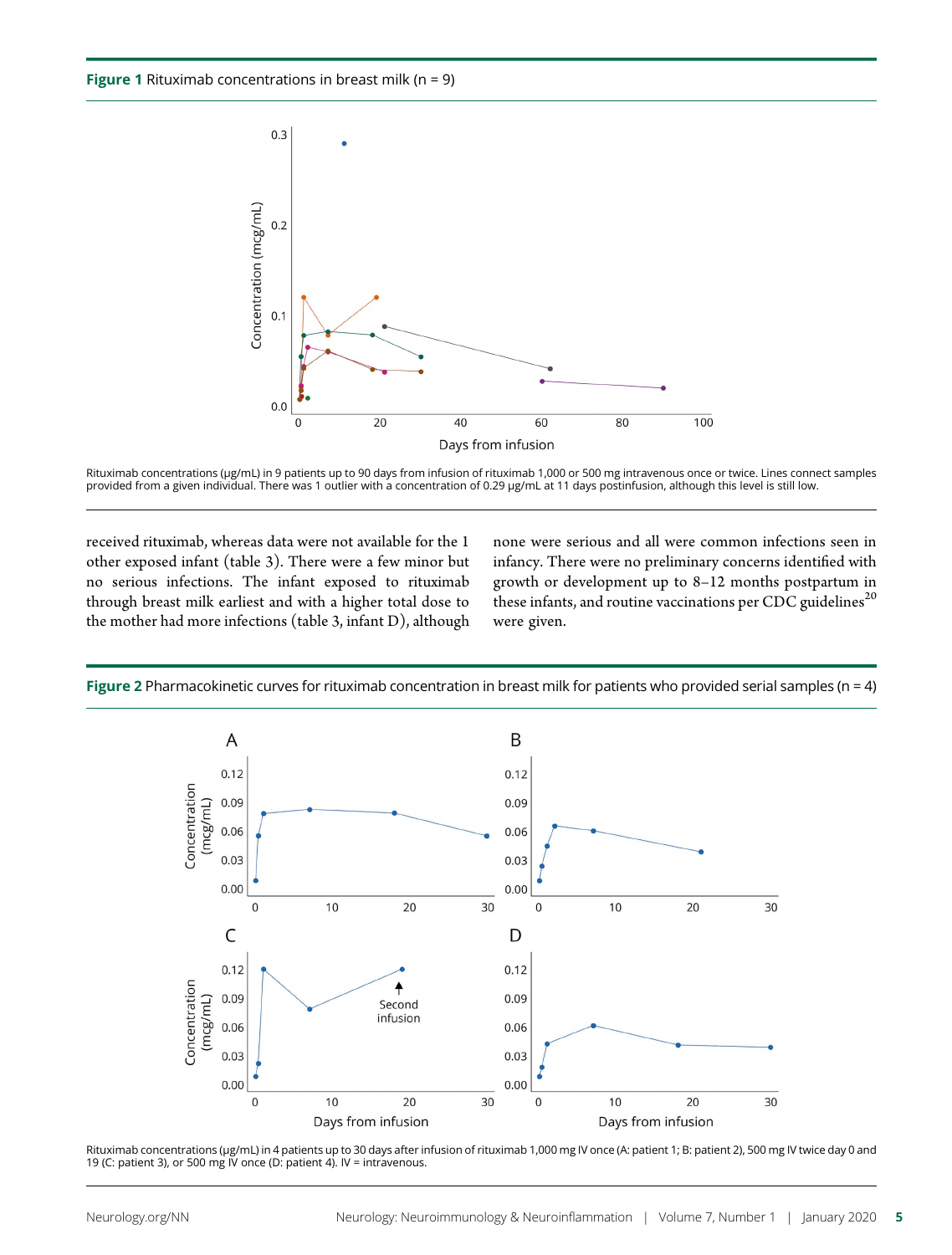

Rituximab concentrations (μg/mL) in 9 patients up to 90 days from infusion of rituximab 1,000 or 500 mg intravenous once or twice. Lines connect samples provided from a given individual. There was 1 outlier with a concentration of 0.29 μg/mL at 11 days postinfusion, although this level is still low.

received rituximab, whereas data were not available for the 1 other exposed infant (table 3). There were a few minor but no serious infections. The infant exposed to rituximab through breast milk earliest and with a higher total dose to the mother had more infections (table 3, infant D), although

none were serious and all were common infections seen in infancy. There were no preliminary concerns identified with growth or development up to 8–12 months postpartum in these infants, and routine vaccinations per CDC guidelines<sup>20</sup> were given.



Figure 2 Pharmacokinetic curves for rituximab concentration in breast milk for patients who provided serial samples ( $n = 4$ )

Rituximab concentrations (μg/mL) in 4 patients up to 30 days after infusion of rituximab 1,000 mg IV once (A: patient 1; B: patient 2), 500 mg IV twice day 0 and 19 (C: patient 3), or 500 mg IV once (D: patient 4). IV = intravenous.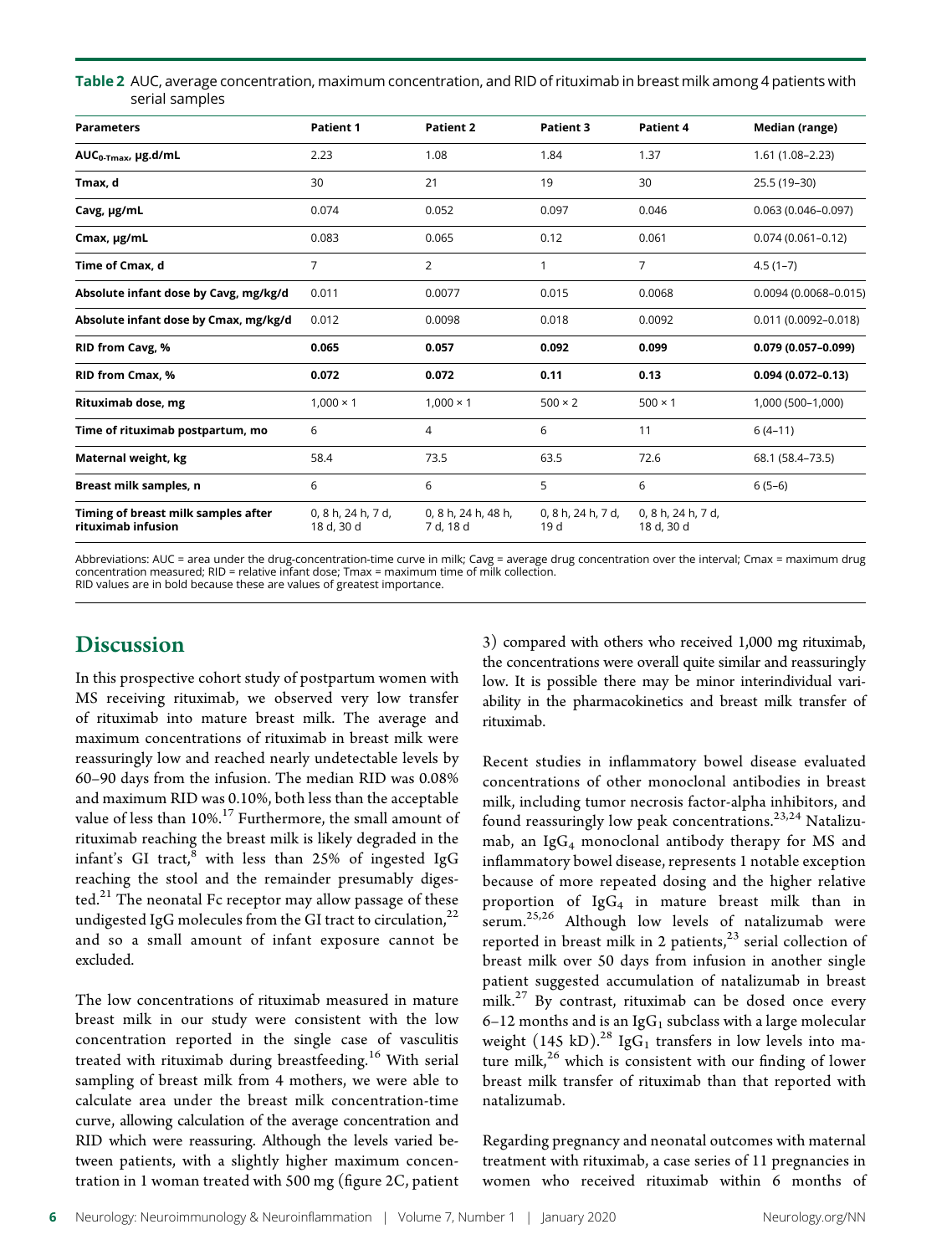Table 2 AUC, average concentration, maximum concentration, and RID of rituximab in breast milk among 4 patients with serial samples

| <b>Parameters</b>                                         | <b>Patient 1</b>                 | <b>Patient 2</b>                 | Patient 3                  | Patient 4                        | Median (range)           |
|-----------------------------------------------------------|----------------------------------|----------------------------------|----------------------------|----------------------------------|--------------------------|
| AUC <sub>0-Tmax</sub> , µg.d/mL                           | 2.23                             | 1.08                             | 1.84                       | 1.37                             | $1.61(1.08 - 2.23)$      |
| Tmax, d                                                   | 30                               | 21                               | 19                         | 30                               | 25.5 (19-30)             |
| Cavg, µg/mL                                               | 0.074                            | 0.052                            | 0.097                      | 0.046                            | $0.063(0.046 - 0.097)$   |
| Cmax, µg/mL                                               | 0.083                            | 0.065                            | 0.12                       | 0.061                            | $0.074(0.061 - 0.12)$    |
| Time of Cmax. d                                           | 7                                | $\overline{2}$                   | 1                          | $\overline{7}$                   | $4.5(1-7)$               |
| Absolute infant dose by Cavg, mg/kg/d                     | 0.011                            | 0.0077                           | 0.015                      | 0.0068                           | $0.0094(0.0068 - 0.015)$ |
| Absolute infant dose by Cmax, mg/kg/d                     | 0.012                            | 0.0098                           | 0.018                      | 0.0092                           | $0.011(0.0092 - 0.018)$  |
| RID from Cavg, %                                          | 0.065                            | 0.057                            | 0.092                      | 0.099                            | $0.079(0.057 - 0.099)$   |
| RID from Cmax, %                                          | 0.072                            | 0.072                            | 0.11                       | 0.13                             | $0.094(0.072 - 0.13)$    |
| <b>Rituximab dose, mg</b>                                 | $1,000 \times 1$                 | $1,000 \times 1$                 | $500 \times 2$             | $500 \times 1$                   | 1,000 (500-1,000)        |
| Time of rituximab postpartum, mo                          | 6                                | 4                                | 6                          | 11                               | $6(4-11)$                |
| Maternal weight, kg                                       | 58.4                             | 73.5                             | 63.5                       | 72.6                             | 68.1 (58.4–73.5)         |
| Breast milk samples, n                                    | 6                                | 6                                | 5                          | 6                                | $6(5-6)$                 |
| Timing of breast milk samples after<br>rituximab infusion | 0, 8 h, 24 h, 7 d,<br>18 d, 30 d | 0, 8 h, 24 h, 48 h,<br>7 d, 18 d | 0, 8 h, 24 h, 7 d,<br>19 d | 0, 8 h, 24 h, 7 d,<br>18 d, 30 d |                          |

Abbreviations: AUC = area under the drug-concentration-time curve in milk; Cavg = average drug concentration over the interval; Cmax = maximum drug concentration measured; RID = relative infant dose; Tmax = maximum time of milk collection. RID values are in bold because these are values of greatest importance.

# Discussion

In this prospective cohort study of postpartum women with MS receiving rituximab, we observed very low transfer of rituximab into mature breast milk. The average and maximum concentrations of rituximab in breast milk were reassuringly low and reached nearly undetectable levels by 60–90 days from the infusion. The median RID was 0.08% and maximum RID was 0.10%, both less than the acceptable value of less than  $10\%$ .<sup>17</sup> Furthermore, the small amount of rituximab reaching the breast milk is likely degraded in the infant's GI tract, $8$  with less than 25% of ingested IgG reaching the stool and the remainder presumably diges- $\text{ted.}^{21}$  The neonatal Fc receptor may allow passage of these undigested IgG molecules from the GI tract to circulation, $^{22}$ and so a small amount of infant exposure cannot be excluded.

The low concentrations of rituximab measured in mature breast milk in our study were consistent with the low concentration reported in the single case of vasculitis treated with rituximab during breastfeeding.<sup>16</sup> With serial sampling of breast milk from 4 mothers, we were able to calculate area under the breast milk concentration-time curve, allowing calculation of the average concentration and RID which were reassuring. Although the levels varied between patients, with a slightly higher maximum concentration in 1 woman treated with 500 mg (figure 2C, patient 3) compared with others who received 1,000 mg rituximab, the concentrations were overall quite similar and reassuringly low. It is possible there may be minor interindividual variability in the pharmacokinetics and breast milk transfer of rituximab.

Recent studies in inflammatory bowel disease evaluated concentrations of other monoclonal antibodies in breast milk, including tumor necrosis factor-alpha inhibitors, and found reassuringly low peak concentrations.<sup>23,24</sup> Natalizumab, an  $\lg G_4$  monoclonal antibody therapy for MS and inflammatory bowel disease, represents 1 notable exception because of more repeated dosing and the higher relative proportion of  $IgG_4$  in mature breast milk than in serum.25,26 Although low levels of natalizumab were reported in breast milk in 2 patients, $2<sup>3</sup>$  serial collection of breast milk over 50 days from infusion in another single patient suggested accumulation of natalizumab in breast milk.<sup>27</sup> By contrast, rituximab can be dosed once every 6–12 months and is an Ig $G_1$  subclass with a large molecular weight (145 kD).<sup>28</sup> IgG<sub>1</sub> transfers in low levels into mature milk, $^{26}$  which is consistent with our finding of lower breast milk transfer of rituximab than that reported with natalizumab.

Regarding pregnancy and neonatal outcomes with maternal treatment with rituximab, a case series of 11 pregnancies in women who received rituximab within 6 months of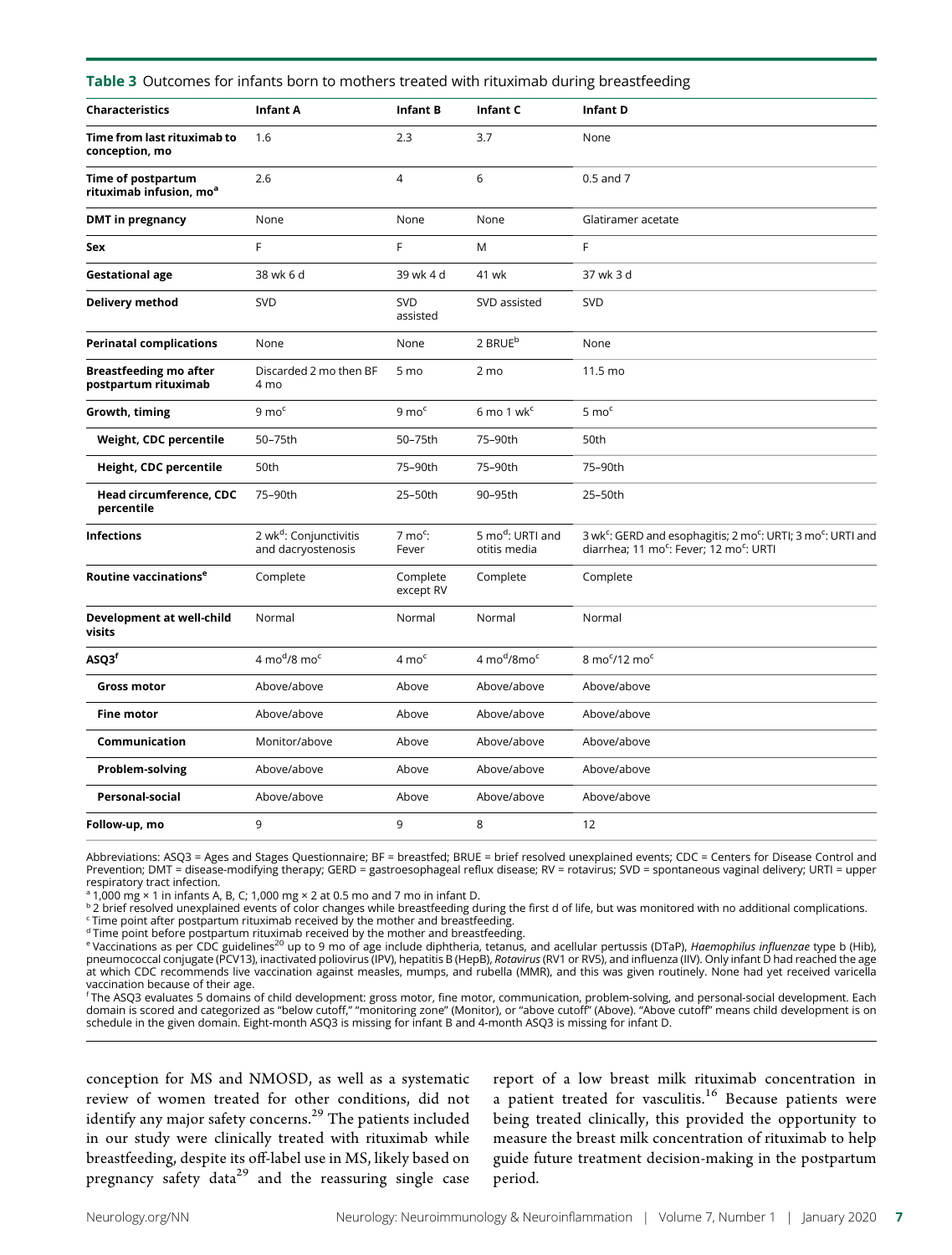| Table 3 Outcomes for infants born to mothers treated with rituximab during breastfeeding |  |  |
|------------------------------------------------------------------------------------------|--|--|
|------------------------------------------------------------------------------------------|--|--|

| <b>Characteristics</b>                                    | Infant A                                                 | <b>Infant B</b>             | Infant C                        | Infant D                                                                                                                                                            |
|-----------------------------------------------------------|----------------------------------------------------------|-----------------------------|---------------------------------|---------------------------------------------------------------------------------------------------------------------------------------------------------------------|
| Time from last rituximab to<br>conception, mo             | 1.6                                                      | 2.3                         | 3.7                             | None                                                                                                                                                                |
| Time of postpartum<br>rituximab infusion, mo <sup>a</sup> | 2.6                                                      | $\overline{4}$              | 6                               | 0.5 and 7                                                                                                                                                           |
| <b>DMT</b> in pregnancy                                   | None                                                     | None                        | None                            | Glatiramer acetate                                                                                                                                                  |
| Sex                                                       | F                                                        | F                           | M                               | F                                                                                                                                                                   |
| <b>Gestational age</b>                                    | 38 wk 6 d                                                | 39 wk 4 d                   | 41 wk                           | 37 wk 3 d                                                                                                                                                           |
| <b>Delivery method</b>                                    | SVD                                                      | <b>SVD</b><br>assisted      | SVD assisted                    | <b>SVD</b>                                                                                                                                                          |
| <b>Perinatal complications</b>                            | None                                                     | None                        | 2 BRUE <sup>b</sup>             | None                                                                                                                                                                |
| <b>Breastfeeding mo after</b><br>postpartum rituximab     | Discarded 2 mo then BF<br>4 mo                           | 5 mo                        | 2 mo                            | 11.5 mo                                                                                                                                                             |
| Growth, timing                                            | $9 \text{ mo}^c$                                         | $9 \text{ mo}^{\text{c}}$   | $6 \text{ mo} 1 \text{ wk}^c$   | $5 \text{ mo}^c$                                                                                                                                                    |
| Weight, CDC percentile                                    | 50-75th                                                  | 50-75th                     | 75-90th                         | 50th                                                                                                                                                                |
| Height, CDC percentile                                    | 50th                                                     | 75-90th                     | 75-90th                         | 75-90th                                                                                                                                                             |
| Head circumference, CDC<br>percentile                     | 75-90th                                                  | 25-50th                     | 90-95th                         | 25-50th                                                                                                                                                             |
| <b>Infections</b>                                         | 2 wk <sup>d</sup> : Conjunctivitis<br>and dacryostenosis | $7 \text{ mo}^c$ :<br>Fever | 5 mod: URTI and<br>otitis media | 3 wk <sup>c</sup> : GERD and esophagitis; 2 mo <sup>c</sup> : URTI; 3 mo <sup>c</sup> : URTI and<br>diarrhea; 11 mo <sup>c</sup> : Fever; 12 mo <sup>c</sup> : URTI |
| Routine vaccinations <sup>e</sup>                         | Complete                                                 | Complete<br>except RV       | Complete                        | Complete                                                                                                                                                            |
| Development at well-child<br>visits                       | Normal                                                   | Normal                      | Normal                          | Normal                                                                                                                                                              |
| ASQ3 <sup>f</sup>                                         | $4 \text{ mo}^d/8 \text{ mo}^c$                          | $4 \text{ mo}^c$            | 4 mod/8moc                      | 8 mo <sup>c</sup> /12 mo <sup>c</sup>                                                                                                                               |
| <b>Gross motor</b>                                        | Above/above                                              | Above                       | Above/above                     | Above/above                                                                                                                                                         |
| <b>Fine motor</b>                                         | Above/above                                              | Above                       | Above/above                     | Above/above                                                                                                                                                         |
| Communication                                             | Monitor/above                                            | Above                       | Above/above                     | Above/above                                                                                                                                                         |
| <b>Problem-solving</b>                                    | Above/above                                              | Above                       | Above/above                     | Above/above                                                                                                                                                         |
| <b>Personal-social</b>                                    | Above/above                                              | Above                       | Above/above                     | Above/above                                                                                                                                                         |
| Follow-up, mo                                             | 9                                                        | 9                           | 8                               | 12                                                                                                                                                                  |

Abbreviations: ASQ3 = Ages and Stages Questionnaire; BF = breastfed; BRUE = brief resolved unexplained events; CDC = Centers for Disease Control and Prevention; DMT = disease-modifying therapy; GERD = gastroesophageal reflux disease; RV = rotavirus; SVD = spontaneous vaginal delivery; URTI = upper respiratory tract infection.

<sup>a</sup> 1,000 mg × 1 in infants A, B, C; 1,000 mg × 2 at 0.5 mo and 7 mo in infant D.

b 2 brief resolved unexplained events of color changes while breastfeeding during the first d of life, but was monitored with no additional complications.

<sup>c</sup> Time point after postpartum rituximab received by the mother and breastfeeding.

d Time point before postpartum rituximab received by the mother and breastfeeding.

<sup>e</sup> Vaccinations as per CDC guidelines<sup>20</sup> up to 9 mo of age include diphtheria, tetanus, and acellular pertussis (DTaP), *Haemophilus influenzae* type b (Hib),<br>pneumococcal conjugate (PCV13), inactivated poliovirus (IPV), at which CDC recommends live vaccination against measles, mumps, and rubella (MMR), and this was given routinely. None had yet received varicella vaccination because of their age.

<sup>f</sup> The ASQ3 evaluates 5 domains of child development: gross motor, fine motor, communication, problem-solving, and personal-social development. Each<br>domain is scored and categorized as "below cutoff," "monitoring zone" (M schedule in the given domain. Eight-month ASQ3 is missing for infant B and 4-month ASQ3 is missing for infant D.

conception for MS and NMOSD, as well as a systematic review of women treated for other conditions, did not identify any major safety concerns.<sup>29</sup> The patients included in our study were clinically treated with rituximab while breastfeeding, despite its off-label use in MS, likely based on pregnancy safety data<sup>29</sup> and the reassuring single case report of a low breast milk rituximab concentration in a patient treated for vasculitis.<sup>16</sup> Because patients were being treated clinically, this provided the opportunity to measure the breast milk concentration of rituximab to help guide future treatment decision-making in the postpartum period.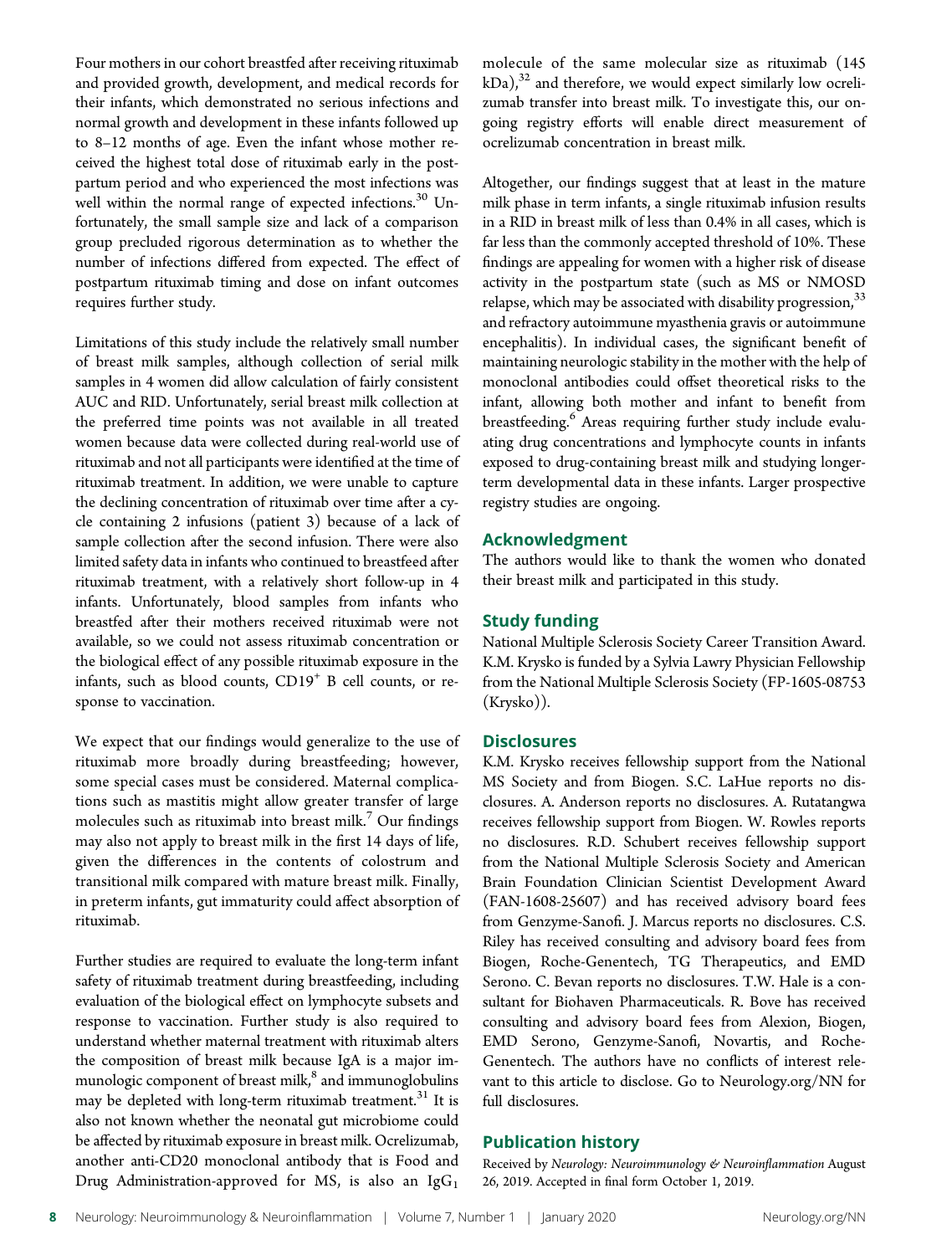Four mothers in our cohort breastfed after receiving rituximab and provided growth, development, and medical records for their infants, which demonstrated no serious infections and normal growth and development in these infants followed up to 8–12 months of age. Even the infant whose mother received the highest total dose of rituximab early in the postpartum period and who experienced the most infections was well within the normal range of expected infections.<sup>30</sup> Unfortunately, the small sample size and lack of a comparison group precluded rigorous determination as to whether the number of infections differed from expected. The effect of postpartum rituximab timing and dose on infant outcomes requires further study.

Limitations of this study include the relatively small number of breast milk samples, although collection of serial milk samples in 4 women did allow calculation of fairly consistent AUC and RID. Unfortunately, serial breast milk collection at the preferred time points was not available in all treated women because data were collected during real-world use of rituximab and not all participants were identified at the time of rituximab treatment. In addition, we were unable to capture the declining concentration of rituximab over time after a cycle containing 2 infusions (patient 3) because of a lack of sample collection after the second infusion. There were also limited safety data in infants who continued to breastfeed after rituximab treatment, with a relatively short follow-up in 4 infants. Unfortunately, blood samples from infants who breastfed after their mothers received rituximab were not available, so we could not assess rituximab concentration or the biological effect of any possible rituximab exposure in the infants, such as blood counts, CD19<sup>+</sup> B cell counts, or response to vaccination.

We expect that our findings would generalize to the use of rituximab more broadly during breastfeeding; however, some special cases must be considered. Maternal complications such as mastitis might allow greater transfer of large molecules such as rituximab into breast milk.<sup>7</sup> Our findings may also not apply to breast milk in the first 14 days of life, given the differences in the contents of colostrum and transitional milk compared with mature breast milk. Finally, in preterm infants, gut immaturity could affect absorption of rituximab.

Further studies are required to evaluate the long-term infant safety of rituximab treatment during breastfeeding, including evaluation of the biological effect on lymphocyte subsets and response to vaccination. Further study is also required to understand whether maternal treatment with rituximab alters the composition of breast milk because IgA is a major immunologic component of breast milk,<sup>8</sup> and immunoglobulins may be depleted with long-term rituximab treatment.<sup>31</sup> It is also not known whether the neonatal gut microbiome could be affected by rituximab exposure in breast milk. Ocrelizumab, another anti-CD20 monoclonal antibody that is Food and Drug Administration-approved for MS, is also an  $IgG<sub>1</sub>$ 

molecule of the same molecular size as rituximab (145  $kDa$ ),<sup>32</sup> and therefore, we would expect similarly low ocrelizumab transfer into breast milk. To investigate this, our ongoing registry efforts will enable direct measurement of ocrelizumab concentration in breast milk.

Altogether, our findings suggest that at least in the mature milk phase in term infants, a single rituximab infusion results in a RID in breast milk of less than 0.4% in all cases, which is far less than the commonly accepted threshold of 10%. These findings are appealing for women with a higher risk of disease activity in the postpartum state (such as MS or NMOSD relapse, which may be associated with disability progression,  $33$ and refractory autoimmune myasthenia gravis or autoimmune encephalitis). In individual cases, the significant benefit of maintaining neurologic stability in the mother with the help of monoclonal antibodies could offset theoretical risks to the infant, allowing both mother and infant to benefit from breastfeeding.<sup>6</sup> Areas requiring further study include evaluating drug concentrations and lymphocyte counts in infants exposed to drug-containing breast milk and studying longerterm developmental data in these infants. Larger prospective registry studies are ongoing.

#### Acknowledgment

The authors would like to thank the women who donated their breast milk and participated in this study.

#### Study funding

National Multiple Sclerosis Society Career Transition Award. K.M. Krysko is funded by a Sylvia Lawry Physician Fellowship from the National Multiple Sclerosis Society (FP-1605-08753 (Krysko)).

#### **Disclosures**

K.M. Krysko receives fellowship support from the National MS Society and from Biogen. S.C. LaHue reports no disclosures. A. Anderson reports no disclosures. A. Rutatangwa receives fellowship support from Biogen. W. Rowles reports no disclosures. R.D. Schubert receives fellowship support from the National Multiple Sclerosis Society and American Brain Foundation Clinician Scientist Development Award (FAN-1608-25607) and has received advisory board fees from Genzyme-Sanofi. J. Marcus reports no disclosures. C.S. Riley has received consulting and advisory board fees from Biogen, Roche-Genentech, TG Therapeutics, and EMD Serono. C. Bevan reports no disclosures. T.W. Hale is a consultant for Biohaven Pharmaceuticals. R. Bove has received consulting and advisory board fees from Alexion, Biogen, EMD Serono, Genzyme-Sanofi, Novartis, and Roche-Genentech. The authors have no conflicts of interest relevant to this article to disclose. Go to [Neurology.org/NN](https://nn.neurology.org/content/7/1/e637/tab-article-info) for full disclosures.

#### Publication history

Received by Neurology: Neuroimmunology & Neuroinflammation August 26, 2019. Accepted in final form October 1, 2019.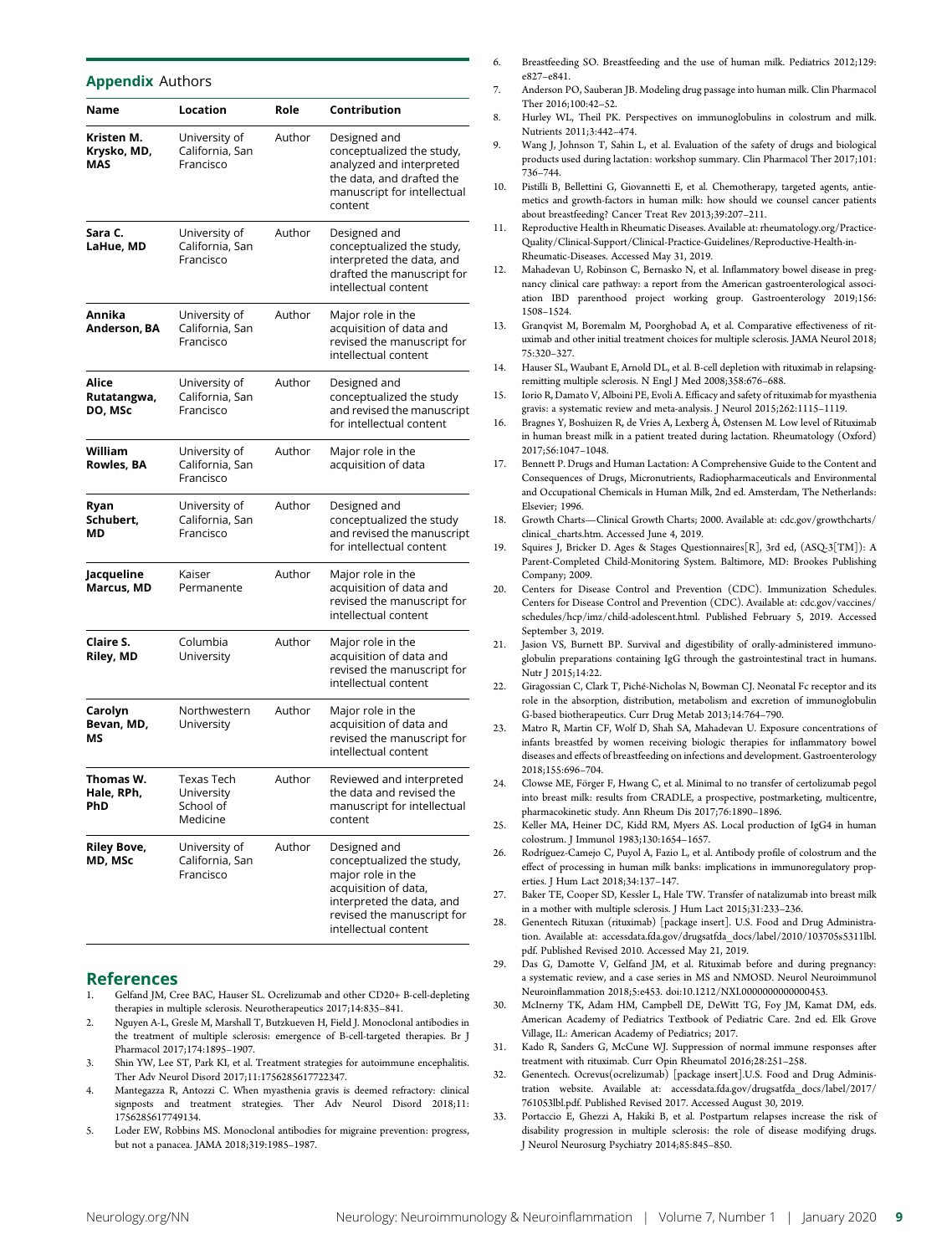| <b>Appendix Authors</b>          |                                                   |        |                                                                                                                                                                           |
|----------------------------------|---------------------------------------------------|--------|---------------------------------------------------------------------------------------------------------------------------------------------------------------------------|
| Name                             | Location                                          | Role   | Contribution                                                                                                                                                              |
| Kristen M.<br>Krysko, MD,<br>MAS | University of<br>California, San<br>Francisco     | Author | Designed and<br>conceptualized the study,<br>analyzed and interpreted<br>the data, and drafted the<br>manuscript for intellectual<br>content                              |
| Sara C.<br>LaHue, MD             | University of<br>California, San<br>Francisco     | Author | Designed and<br>conceptualized the study,<br>interpreted the data, and<br>drafted the manuscript for<br>intellectual content                                              |
| Annika<br>Anderson, BA           | University of<br>California, San<br>Francisco     | Author | Major role in the<br>acquisition of data and<br>revised the manuscript for<br>intellectual content                                                                        |
| Alice<br>Rutatangwa,<br>DO, MSc  | University of<br>California, San<br>Francisco     | Author | Designed and<br>conceptualized the study<br>and revised the manuscript<br>for intellectual content                                                                        |
| William<br>Rowles, BA            | University of<br>California, San<br>Francisco     | Author | Major role in the<br>acquisition of data                                                                                                                                  |
| Ryan<br>Schubert,<br>ΜD          | University of<br>California, San<br>Francisco     | Author | Designed and<br>conceptualized the study<br>and revised the manuscript<br>for intellectual content                                                                        |
| Jacqueline<br>Marcus, MD         | Kaiser<br>Permanente                              | Author | Major role in the<br>acquisition of data and<br>revised the manuscript for<br>intellectual content                                                                        |
| Claire S.<br>Riley, MD           | Columbia<br>University                            | Author | Major role in the<br>acquisition of data and<br>revised the manuscript for<br>intellectual content                                                                        |
| Carolyn<br>Bevan, MD,<br>ΜS      | Northwestern<br>University                        | Author | Major role in the<br>acquisition of data and<br>revised the manuscript for<br>intellectual content                                                                        |
| Thomas W.<br>Hale, RPh<br>PhD    | Texas Tech<br>University<br>School of<br>Medicine | Author | Reviewed and interpreted<br>the data and revised the<br>manuscript for intellectual<br>content                                                                            |
| <b>Riley Bove,</b><br>MD, MSc    | University of<br>California, San<br>Francisco     | Author | Designed and<br>conceptualized the study,<br>major role in the<br>acquisition of data,<br>interpreted the data, and<br>revised the manuscript for<br>intellectual content |

#### References

- 1. Gelfand JM, Cree BAC, Hauser SL. Ocrelizumab and other CD20+ B-cell-depleting therapies in multiple sclerosis. Neurotherapeutics 2017;14:835–841.
- 2. Nguyen A-L, Gresle M, Marshall T, Butzkueven H, Field J. Monoclonal antibodies in the treatment of multiple sclerosis: emergence of B-cell-targeted therapies. Br J Pharmacol 2017;174:1895–1907.
- 3. Shin YW, Lee ST, Park KI, et al. Treatment strategies for autoimmune encephalitis. Ther Adv Neurol Disord 2017;11:1756285617722347.
- 4. Mantegazza R, Antozzi C. When myasthenia gravis is deemed refractory: clinical signposts and treatment strategies. Ther Adv Neurol Disord 2018;11: 1756285617749134.
- 5. Loder EW, Robbins MS. Monoclonal antibodies for migraine prevention: progress, but not a panacea. JAMA 2018;319:1985–1987.
- 6. Breastfeeding SO. Breastfeeding and the use of human milk. Pediatrics 2012;129: e827–e841.
- 7. Anderson PO, Sauberan JB. Modeling drug passage into human milk. Clin Pharmacol Ther 2016;100:42–52.
- 8. Hurley WL, Theil PK. Perspectives on immunoglobulins in colostrum and milk. Nutrients 2011;3:442–474.
- 9. Wang J, Johnson T, Sahin L, et al. Evaluation of the safety of drugs and biological products used during lactation: workshop summary. Clin Pharmacol Ther 2017;101: 736–744.
- 10. Pistilli B, Bellettini G, Giovannetti E, et al. Chemotherapy, targeted agents, antiemetics and growth-factors in human milk: how should we counsel cancer patients about breastfeeding? Cancer Treat Rev 2013;39:207–211.
- 11. Reproductive Health in Rheumatic Diseases. Available at: [rheumatology.org/Practice-](http://rheumatology.org/Practice-Quality/Clinical-Support/Clinical-Practice-Guidelines/Reproductive-Health-in-Rheumatic-Diseases)[Quality/Clinical-Support/Clinical-Practice-Guidelines/Reproductive-Health-in-](http://rheumatology.org/Practice-Quality/Clinical-Support/Clinical-Practice-Guidelines/Reproductive-Health-in-Rheumatic-Diseases)[Rheumatic-Diseases](http://rheumatology.org/Practice-Quality/Clinical-Support/Clinical-Practice-Guidelines/Reproductive-Health-in-Rheumatic-Diseases). Accessed May 31, 2019.
- 12. Mahadevan U, Robinson C, Bernasko N, et al. Inflammatory bowel disease in pregnancy clinical care pathway: a report from the American gastroenterological association IBD parenthood project working group. Gastroenterology 2019;156: 1508–1524.
- 13. Granqvist M, Boremalm M, Poorghobad A, et al. Comparative effectiveness of rituximab and other initial treatment choices for multiple sclerosis. JAMA Neurol 2018; 75:320–327.
- 14. Hauser SL, Waubant E, Arnold DL, et al. B-cell depletion with rituximab in relapsingremitting multiple sclerosis. N Engl J Med 2008;358:676–688.
- 15. Iorio R, Damato V, Alboini PE, Evoli A. Efficacy and safety of rituximab for myasthenia gravis: a systematic review and meta-analysis. J Neurol 2015;262:1115–1119.
- 16. Bragnes Y, Boshuizen R, de Vries A, Lexberg Å, Østensen M. Low level of Rituximab in human breast milk in a patient treated during lactation. Rheumatology (Oxford) 2017;56:1047–1048.
- Bennett P. Drugs and Human Lactation: A Comprehensive Guide to the Content and Consequences of Drugs, Micronutrients, Radiopharmaceuticals and Environmental and Occupational Chemicals in Human Milk, 2nd ed. Amsterdam, The Netherlands: Elsevier; 1996.
- 18. Growth Charts—Clinical Growth Charts; 2000. Available at: [cdc.gov/growthcharts/](http://cdc.gov/growthcharts/clinical_charts.htm) [clinical\\_charts.htm](http://cdc.gov/growthcharts/clinical_charts.htm). Accessed June 4, 2019.
- 19. Squires J, Bricker D. Ages & Stages Questionnaires[R], 3rd ed, (ASQ-3[TM]): A Parent-Completed Child-Monitoring System. Baltimore, MD: Brookes Publishing Company; 2009.
- 20. Centers for Disease Control and Prevention (CDC). Immunization Schedules. Centers for Disease Control and Prevention (CDC). Available at: [cdc.gov/vaccines/](http://cdc.gov/vaccines/schedules/hcp/imz/child-adolescent.html) [schedules/hcp/imz/child-adolescent.html](http://cdc.gov/vaccines/schedules/hcp/imz/child-adolescent.html). Published February 5, 2019. Accessed September 3, 2019.
- 21. Jasion VS, Burnett BP. Survival and digestibility of orally-administered immunoglobulin preparations containing IgG through the gastrointestinal tract in humans. Nutr J 2015;14:22.
- 22. Giragossian C, Clark T, Piché-Nicholas N, Bowman CJ. Neonatal Fc receptor and its role in the absorption, distribution, metabolism and excretion of immunoglobulin G-based biotherapeutics. Curr Drug Metab 2013;14:764–790.
- 23. Matro R, Martin CF, Wolf D, Shah SA, Mahadevan U. Exposure concentrations of infants breastfed by women receiving biologic therapies for inflammatory bowel diseases and effects of breastfeeding on infections and development. Gastroenterology 2018;155:696–704.
- 24. Clowse ME, Förger F, Hwang C, et al. Minimal to no transfer of certolizumab pegol into breast milk: results from CRADLE, a prospective, postmarketing, multicentre, pharmacokinetic study. Ann Rheum Dis 2017;76:1890–1896.
- 25. Keller MA, Heiner DC, Kidd RM, Myers AS. Local production of IgG4 in human colostrum. J Immunol 1983;130:1654–1657.
- 26. Rodríguez-Camejo C, Puyol A, Fazio L, et al. Antibody profile of colostrum and the effect of processing in human milk banks: implications in immunoregulatory properties. J Hum Lact 2018;34:137–147.
- 27. Baker TE, Cooper SD, Kessler L, Hale TW. Transfer of natalizumab into breast milk in a mother with multiple sclerosis. J Hum Lact 2015;31:233–236.
- 28. Genentech Rituxan (rituximab) [package insert]. U.S. Food and Drug Administration. Available at: [accessdata.fda.gov/drugsatfda\\_docs/label/2010/103705s5311lbl.](http://accessdata.fda.gov/drugsatfda_docs/label/2010/103705s5311lbl.pdf) [pdf](http://accessdata.fda.gov/drugsatfda_docs/label/2010/103705s5311lbl.pdf). Published Revised 2010. Accessed May 21, 2019.
- 29. Das G, Damotte V, Gelfand JM, et al. Rituximab before and during pregnancy: a systematic review, and a case series in MS and NMOSD. Neurol Neuroimmunol Neuroinflammation 2018;5:e453. [doi:10.1212/NXI.0000000000000453](https://nn.neurology.org/content/5/3/e453/tab-article-info).
- 30. McInerny TK, Adam HM, Campbell DE, DeWitt TG, Foy JM, Kamat DM, eds. American Academy of Pediatrics Textbook of Pediatric Care. 2nd ed. Elk Grove Village, IL: American Academy of Pediatrics; 2017.
- 31. Kado R, Sanders G, McCune WJ. Suppression of normal immune responses after treatment with rituximab. Curr Opin Rheumatol 2016;28:251–258.
- Genentech. Ocrevus(ocrelizumab) [package insert].U.S. Food and Drug Administration website. Available at: [accessdata.fda.gov/drugsatfda\\_docs/label/2017/](http://accessdata.fda.gov/drugsatfda_docs/label/2017/761053lbl.pdf) [761053lbl.pdf.](http://accessdata.fda.gov/drugsatfda_docs/label/2017/761053lbl.pdf) Published Revised 2017. Accessed August 30, 2019.
- 33. Portaccio E, Ghezzi A, Hakiki B, et al. Postpartum relapses increase the risk of disability progression in multiple sclerosis: the role of disease modifying drugs. J Neurol Neurosurg Psychiatry 2014;85:845–850.